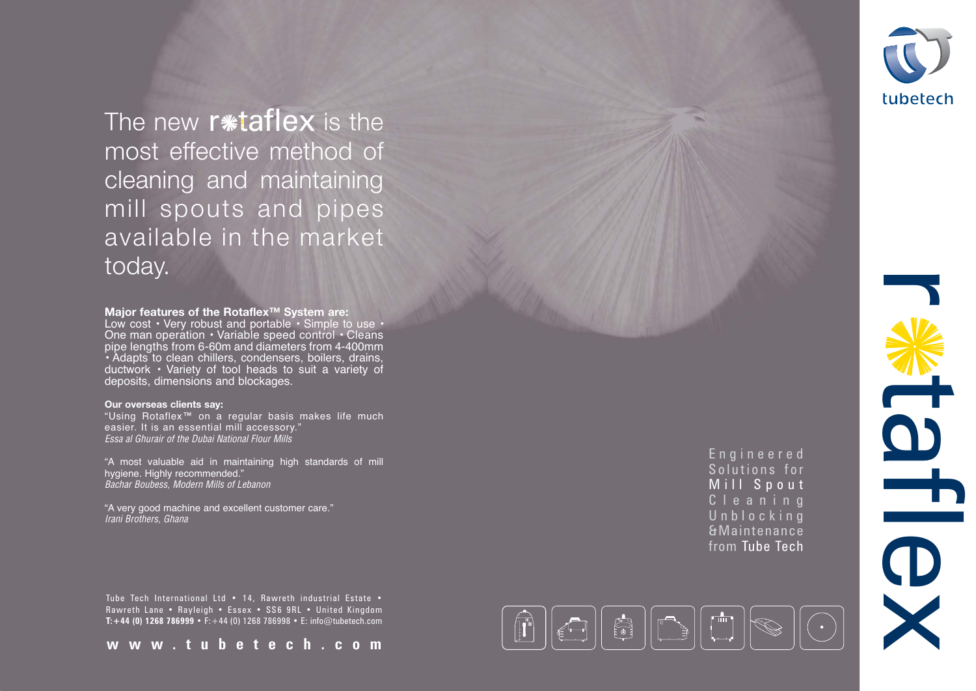Tube Tech International Ltd • 14, Rawreth industrial Estate • Rawreth Lane • Rayleigh • Essex • SS6 9RL • United Kingdom **T:+44 (0) 1268 786999** • F:+44 (0) 1268 786998 • E: info@tubetech.com

## **Major features of the Rotaflex™ System are:**

Low cost • Very robust and portable • Simple to use • One man operation • Variable speed control • Cleans pipe lengths from 6-60m and diameters from 4-400mm • Adapts to clean chillers, condensers, boilers, drains, ductwork • Variety of tool heads to suit a variety of deposits, dimensions and blockages.

## **Our overseas clients say:**

The new r\*taflex is the most effective method of cleaning and maintaining mill spouts and pipes available in the market today.

"Using Rotaflex™ on a regular basis makes life much easier. It is an essential mill accessory." Essa al Ghurair of the Dubai National Flour Mills

"A most valuable aid in maintaining high standards of mill hygiene. Highly recommended." Bachar Boubess, Modern Mills of Lebanon

"A very good machine and excellent customer care." Irani Brothers, Ghana

**www.tubetech.com**







Engineered Solutions for Mill Spout Cleaning Unblocking &Maintenance from Tube Tech